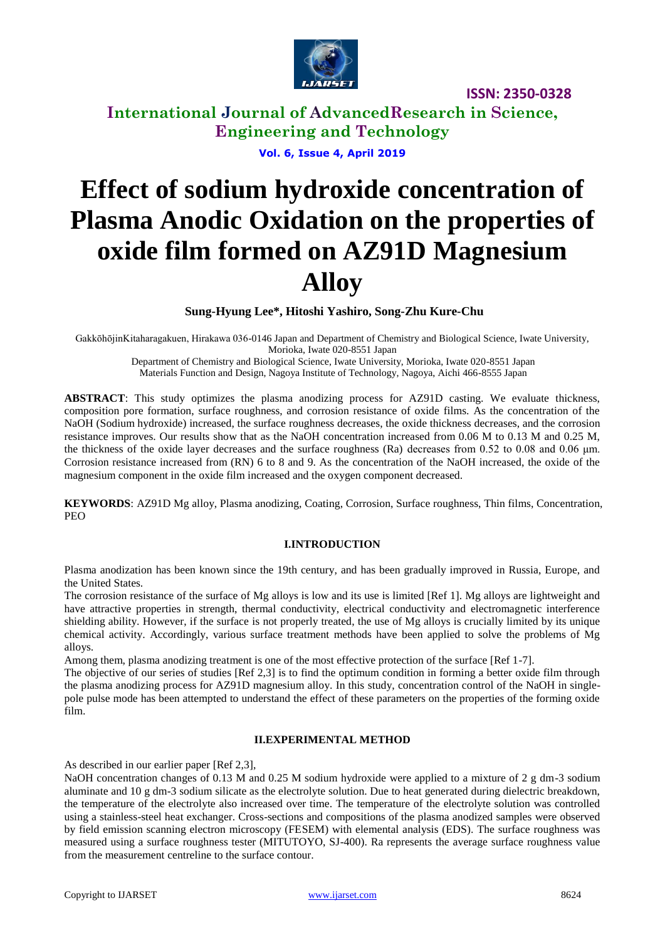

**International Journal of AdvancedResearch in Science, Engineering and Technology**

**Vol. 6, Issue 4, April 2019**

# **Effect of sodium hydroxide concentration of Plasma Anodic Oxidation on the properties of oxide film formed on AZ91D Magnesium Alloy**

**Sung-Hyung Lee\*, Hitoshi Yashiro, Song-Zhu Kure-Chu**

GakkōhōjinKitaharagakuen, Hirakawa 036-0146 Japan and Department of Chemistry and Biological Science, Iwate University, Morioka, Iwate 020-8551 Japan

Department of Chemistry and Biological Science, Iwate University, Morioka, Iwate 020-8551 Japan Materials Function and Design, Nagoya Institute of Technology, Nagoya, Aichi 466-8555 Japan

**ABSTRACT**: This study optimizes the plasma anodizing process for AZ91D casting. We evaluate thickness, composition pore formation, surface roughness, and corrosion resistance of oxide films. As the concentration of the NaOH (Sodium hydroxide) increased, the surface roughness decreases, the oxide thickness decreases, and the corrosion resistance improves. Our results show that as the NaOH concentration increased from 0.06 M to 0.13 M and 0.25 M, the thickness of the oxide layer decreases and the surface roughness (Ra) decreases from 0.52 to 0.08 and 0.06 μm. Corrosion resistance increased from (RN) 6 to 8 and 9. As the concentration of the NaOH increased, the oxide of the magnesium component in the oxide film increased and the oxygen component decreased.

**KEYWORDS**: AZ91D Mg alloy, Plasma anodizing, Coating, Corrosion, Surface roughness, Thin films, Concentration, PEO

#### **I.INTRODUCTION**

Plasma anodization has been known since the 19th century, and has been gradually improved in Russia, Europe, and the United States.

The corrosion resistance of the surface of Mg alloys is low and its use is limited [Ref 1]. Mg alloys are lightweight and have attractive properties in strength, thermal conductivity, electrical conductivity and electromagnetic interference shielding ability. However, if the surface is not properly treated, the use of Mg alloys is crucially limited by its unique chemical activity. Accordingly, various surface treatment methods have been applied to solve the problems of Mg alloys.

Among them, plasma anodizing treatment is one of the most effective protection of the surface [Ref 1-7].

The objective of our series of studies [Ref 2,3] is to find the optimum condition in forming a better oxide film through the plasma anodizing process for AZ91D magnesium alloy. In this study, concentration control of the NaOH in singlepole pulse mode has been attempted to understand the effect of these parameters on the properties of the forming oxide film.

#### **II.EXPERIMENTAL METHOD**

As described in our earlier paper [Ref 2,3],

NaOH concentration changes of 0.13 M and 0.25 M sodium hydroxide were applied to a mixture of 2 g dm-3 sodium aluminate and 10 g dm-3 sodium silicate as the electrolyte solution. Due to heat generated during dielectric breakdown, the temperature of the electrolyte also increased over time. The temperature of the electrolyte solution was controlled using a stainless-steel heat exchanger. Cross-sections and compositions of the plasma anodized samples were observed by field emission scanning electron microscopy (FESEM) with elemental analysis (EDS). The surface roughness was measured using a surface roughness tester (MITUTOYO, SJ-400). Ra represents the average surface roughness value from the measurement centreline to the surface contour.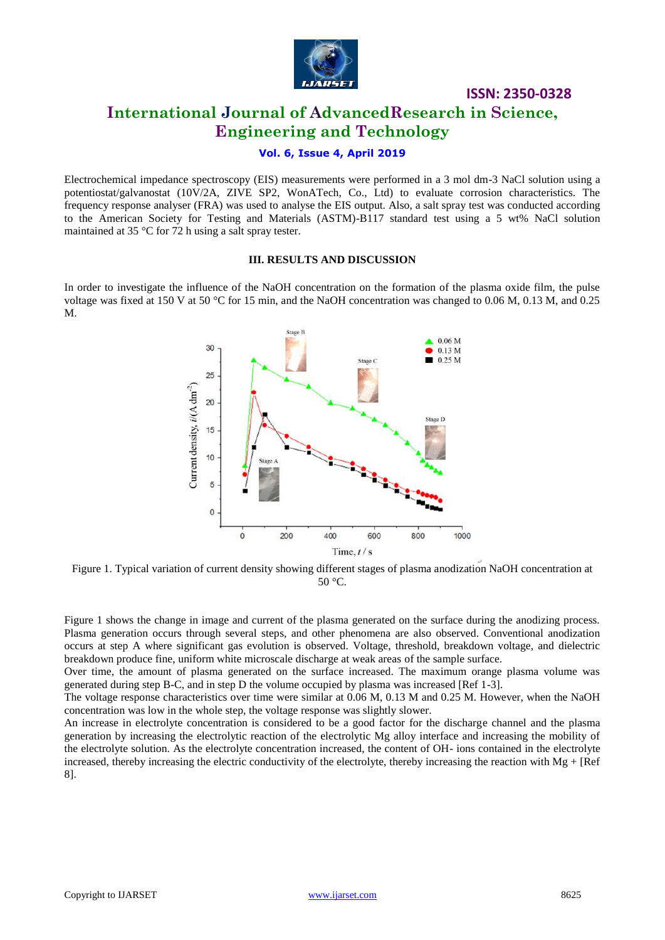

## **International Journal of AdvancedResearch in Science, Engineering and Technology**

#### **Vol. 6, Issue 4, April 2019**

Electrochemical impedance spectroscopy (EIS) measurements were performed in a 3 mol dm-3 NaCl solution using a potentiostat/galvanostat (10V/2A, ZIVE SP2, WonATech, Co., Ltd) to evaluate corrosion characteristics. The frequency response analyser (FRA) was used to analyse the EIS output. Also, a salt spray test was conducted according to the American Society for Testing and Materials (ASTM)-B117 standard test using a 5 wt% NaCl solution maintained at 35 °C for 72 h using a salt spray tester.

#### **III. RESULTS AND DISCUSSION**

In order to investigate the influence of the NaOH concentration on the formation of the plasma oxide film, the pulse voltage was fixed at 150 V at 50 °C for 15 min, and the NaOH concentration was changed to 0.06 M, 0.13 M, and 0.25 M.



Figure 1. Typical variation of current density showing different stages of plasma anodization NaOH concentration at 50 °C.

Figure 1 shows the change in image and current of the plasma generated on the surface during the anodizing process. Plasma generation occurs through several steps, and other phenomena are also observed. Conventional anodization occurs at step A where significant gas evolution is observed. Voltage, threshold, breakdown voltage, and dielectric breakdown produce fine, uniform white microscale discharge at weak areas of the sample surface.

Over time, the amount of plasma generated on the surface increased. The maximum orange plasma volume was generated during step B-C, and in step D the volume occupied by plasma was increased [Ref 1-3].

The voltage response characteristics over time were similar at 0.06 M, 0.13 M and 0.25 M. However, when the NaOH concentration was low in the whole step, the voltage response was slightly slower.

An increase in electrolyte concentration is considered to be a good factor for the discharge channel and the plasma generation by increasing the electrolytic reaction of the electrolytic Mg alloy interface and increasing the mobility of the electrolyte solution. As the electrolyte concentration increased, the content of OH- ions contained in the electrolyte increased, thereby increasing the electric conductivity of the electrolyte, thereby increasing the reaction with  $Mg + [Ref]$ 8].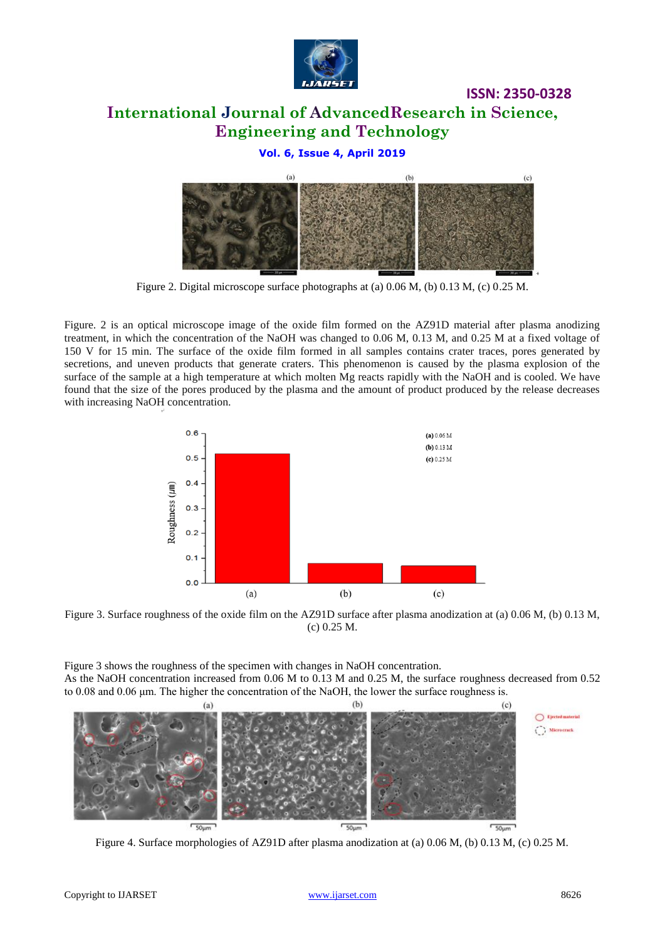

# **International Journal of AdvancedResearch in Science, Engineering and Technology**

## **Vol. 6, Issue 4, April 2019**



Figure 2. Digital microscope surface photographs at (a) 0.06 M, (b) 0.13 M, (c) 0.25 M.

Figure. 2 is an optical microscope image of the oxide film formed on the AZ91D material after plasma anodizing treatment, in which the concentration of the NaOH was changed to 0.06 M, 0.13 M, and 0.25 M at a fixed voltage of 150 V for 15 min. The surface of the oxide film formed in all samples contains crater traces, pores generated by secretions, and uneven products that generate craters. This phenomenon is caused by the plasma explosion of the surface of the sample at a high temperature at which molten Mg reacts rapidly with the NaOH and is cooled. We have found that the size of the pores produced by the plasma and the amount of product produced by the release decreases with increasing NaOH concentration.



Figure 3. Surface roughness of the oxide film on the AZ91D surface after plasma anodization at (a) 0.06 M, (b) 0.13 M, (c) 0.25 M.

Figure 3 shows the roughness of the specimen with changes in NaOH concentration. As the NaOH concentration increased from 0.06 M to 0.13 M and 0.25 M, the surface roughness decreased from 0.52 to 0.08 and 0.06 μm. The higher the concentration of the NaOH, the lower the surface roughness is.



Figure 4. Surface morphologies of AZ91D after plasma anodization at (a) 0.06 M, (b) 0.13 M, (c) 0.25 M.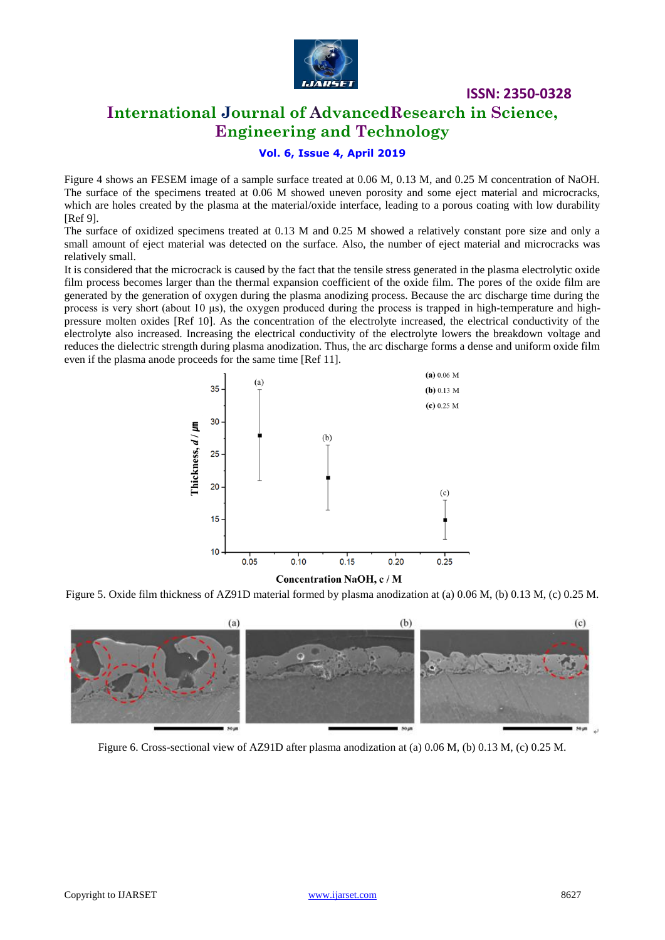

## **International Journal of AdvancedResearch in Science, Engineering and Technology**

#### **Vol. 6, Issue 4, April 2019**

Figure 4 shows an FESEM image of a sample surface treated at 0.06 M, 0.13 M, and 0.25 M concentration of NaOH. The surface of the specimens treated at 0.06 M showed uneven porosity and some eject material and microcracks, which are holes created by the plasma at the material/oxide interface, leading to a porous coating with low durability [Ref 9].

The surface of oxidized specimens treated at 0.13 M and 0.25 M showed a relatively constant pore size and only a small amount of eject material was detected on the surface. Also, the number of eject material and microcracks was relatively small.

It is considered that the microcrack is caused by the fact that the tensile stress generated in the plasma electrolytic oxide film process becomes larger than the thermal expansion coefficient of the oxide film. The pores of the oxide film are generated by the generation of oxygen during the plasma anodizing process. Because the arc discharge time during the process is very short (about 10 μs), the oxygen produced during the process is trapped in high-temperature and highpressure molten oxides [Ref 10]. As the concentration of the electrolyte increased, the electrical conductivity of the electrolyte also increased. Increasing the electrical conductivity of the electrolyte lowers the breakdown voltage and reduces the dielectric strength during plasma anodization. Thus, the arc discharge forms a dense and uniform oxide film even if the plasma anode proceeds for the same time [Ref 11].



Figure 5. Oxide film thickness of AZ91D material formed by plasma anodization at (a) 0.06 M, (b) 0.13 M, (c) 0.25 M.



Figure 6. Cross-sectional view of AZ91D after plasma anodization at (a) 0.06 M, (b) 0.13 M, (c) 0.25 M.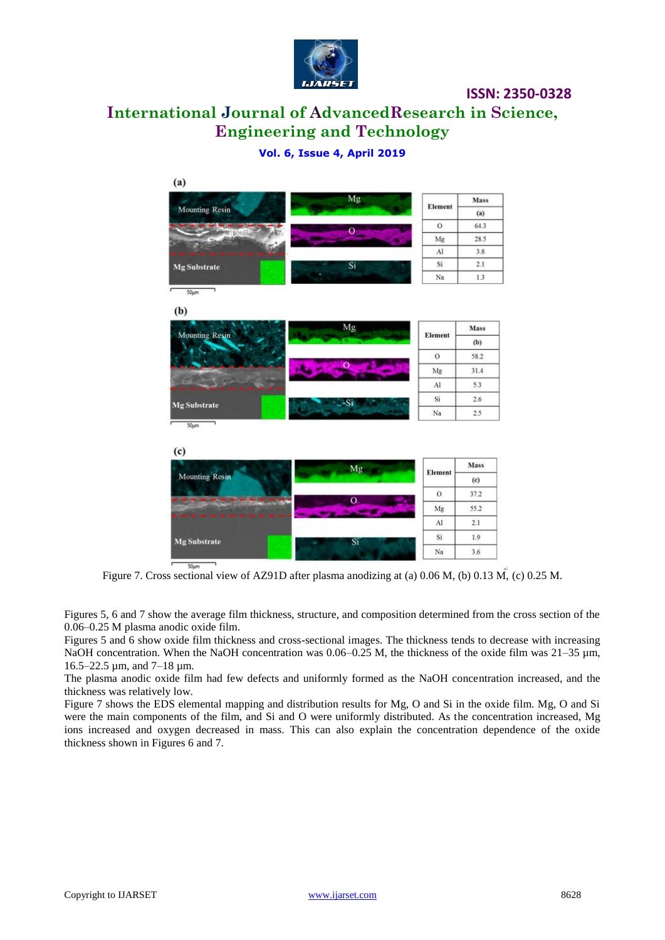

# **International Journal of AdvancedResearch in Science, Engineering and Technology**

## **Vol. 6, Issue 4, April 2019**



Figure 7. Cross sectional view of AZ91D after plasma anodizing at (a) 0.06 M, (b) 0.13 M, (c) 0.25 M.

Figures 5, 6 and 7 show the average film thickness, structure, and composition determined from the cross section of the 0.06–0.25 M plasma anodic oxide film.

Figures 5 and 6 show oxide film thickness and cross-sectional images. The thickness tends to decrease with increasing NaOH concentration. When the NaOH concentration was  $0.06-0.25$  M, the thickness of the oxide film was  $21-35$  µm, 16.5–22.5 µm, and 7–18 µm.

The plasma anodic oxide film had few defects and uniformly formed as the NaOH concentration increased, and the thickness was relatively low.

Figure 7 shows the EDS elemental mapping and distribution results for Mg, O and Si in the oxide film. Mg, O and Si were the main components of the film, and Si and O were uniformly distributed. As the concentration increased, Mg ions increased and oxygen decreased in mass. This can also explain the concentration dependence of the oxide thickness shown in Figures 6 and 7.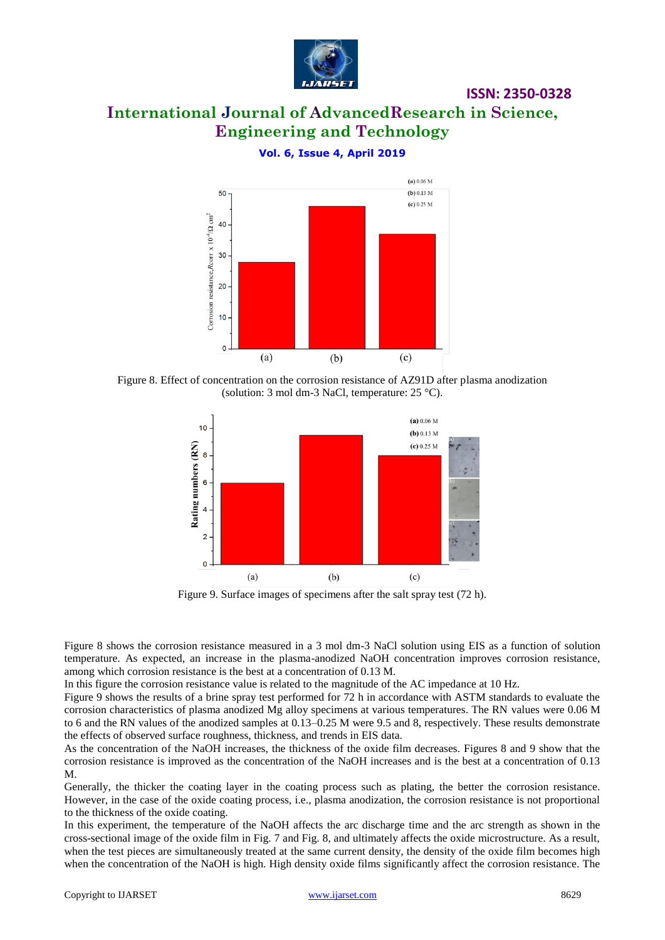

# **International Journal of AdvancedResearch in Science, Engineering and Technology**

(a)  $0.06 M$ (b) 0.13  $M$ 50 (c)  $0.25$  M Corrosion resistance. Reorr  $\times 10^{4}/\Omega$  cm<sup>2</sup> 40 30 20  $10$  $(a)$  $(b)$  $(c)$ 

## **Vol. 6, Issue 4, April 2019**





Figure 9. Surface images of specimens after the salt spray test (72 h).

Figure 8 shows the corrosion resistance measured in a 3 mol dm-3 NaCl solution using EIS as a function of solution temperature. As expected, an increase in the plasma-anodized NaOH concentration improves corrosion resistance, among which corrosion resistance is the best at a concentration of 0.13 M.

In this figure the corrosion resistance value is related to the magnitude of the AC impedance at 10 Hz.

Figure 9 shows the results of a brine spray test performed for 72 h in accordance with ASTM standards to evaluate the corrosion characteristics of plasma anodized Mg alloy specimens at various temperatures. The RN values were 0.06 M to 6 and the RN values of the anodized samples at 0.13–0.25 M were 9.5 and 8, respectively. These results demonstrate the effects of observed surface roughness, thickness, and trends in EIS data.

As the concentration of the NaOH increases, the thickness of the oxide film decreases. Figures 8 and 9 show that the corrosion resistance is improved as the concentration of the NaOH increases and is the best at a concentration of 0.13 M.

Generally, the thicker the coating layer in the coating process such as plating, the better the corrosion resistance. However, in the case of the oxide coating process, i.e., plasma anodization, the corrosion resistance is not proportional to the thickness of the oxide coating.

In this experiment, the temperature of the NaOH affects the arc discharge time and the arc strength as shown in the cross-sectional image of the oxide film in Fig. 7 and Fig. 8, and ultimately affects the oxide microstructure. As a result, when the test pieces are simultaneously treated at the same current density, the density of the oxide film becomes high when the concentration of the NaOH is high. High density oxide films significantly affect the corrosion resistance. The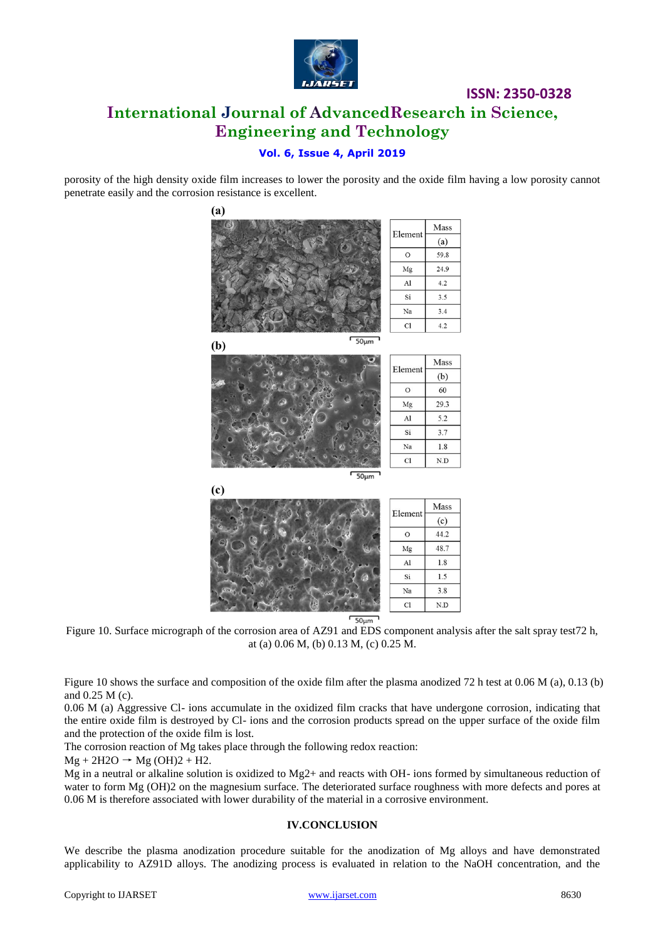

# **ISSN: 2350-0328 International Journal of AdvancedResearch in Science, Engineering and Technology**

## **Vol. 6, Issue 4, April 2019**

porosity of the high density oxide film increases to lower the porosity and the oxide film having a low porosity cannot penetrate easily and the corrosion resistance is excellent.



 $50 \mu m$ 

Figure 10. Surface micrograph of the corrosion area of AZ91 and EDS component analysis after the salt spray test72 h, at (a) 0.06 M, (b) 0.13 M, (c) 0.25 M.

Figure 10 shows the surface and composition of the oxide film after the plasma anodized 72 h test at 0.06 M (a), 0.13 (b) and 0.25 M (c).

0.06 M (a) Aggressive Cl- ions accumulate in the oxidized film cracks that have undergone corrosion, indicating that the entire oxide film is destroyed by Cl- ions and the corrosion products spread on the upper surface of the oxide film and the protection of the oxide film is lost.

The corrosion reaction of Mg takes place through the following redox reaction:

 $Mg + 2H2O \rightarrow Mg (OH)2 + H2.$ 

Mg in a neutral or alkaline solution is oxidized to Mg2+ and reacts with OH- ions formed by simultaneous reduction of water to form Mg (OH)2 on the magnesium surface. The deteriorated surface roughness with more defects and pores at 0.06 M is therefore associated with lower durability of the material in a corrosive environment.

#### **IV.CONCLUSION**

We describe the plasma anodization procedure suitable for the anodization of Mg alloys and have demonstrated applicability to AZ91D alloys. The anodizing process is evaluated in relation to the NaOH concentration, and the